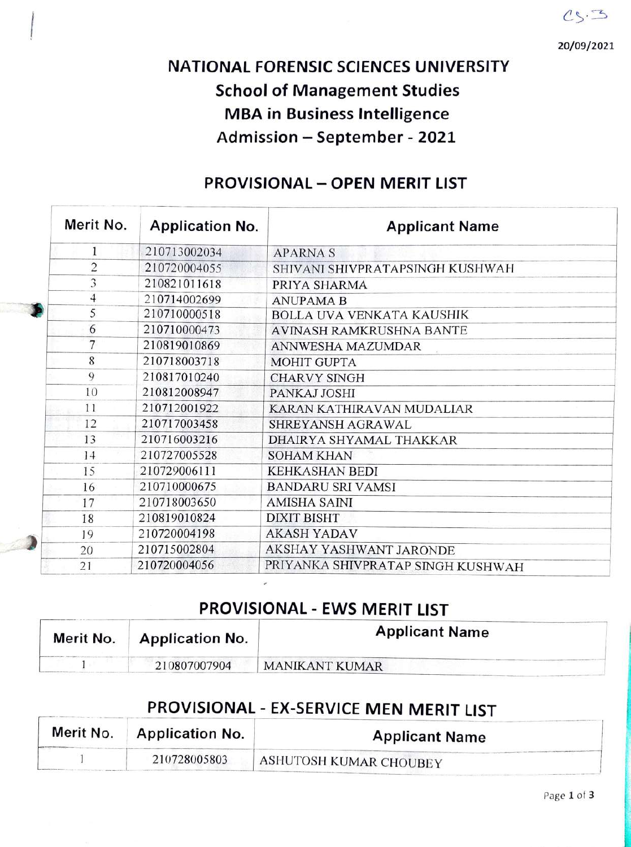$CS.3$ 

20/09/2021

# NATIONAL FORENSIC SCIENCES UNIVERSITY School of Management Studies MBA in Business Intelligence Admission - September - 2021

|  | Merit No.      | <b>Application No.</b> | <b>Applicant Name</b>             |
|--|----------------|------------------------|-----------------------------------|
|  | 1              | 210713002034           | <b>APARNAS</b>                    |
|  | $\overline{c}$ | 210720004055           | SHIVANI SHIVPRATAPSINGH KUSHWAH   |
|  | 3              | 210821011618           | PRIYA SHARMA                      |
|  | $\overline{4}$ | 210714002699           | <b>ANUPAMA B</b>                  |
|  | 5              | 210710000518           | <b>BOLLA UVA VENKATA KAUSHIK</b>  |
|  | 6              | 210710000473           | AVINASH RAMKRUSHNA BANTE          |
|  | 7              | 210819010869           | ANNWESHA MAZUMDAR                 |
|  | 8              | 210718003718           | <b>MOHIT GUPTA</b>                |
|  | 9              | 210817010240           | <b>CHARVY SINGH</b>               |
|  | 10             | 210812008947           | PANKAJ JOSHI                      |
|  | 11             | 210712001922           | KARAN KATHIRAVAN MUDALIAR         |
|  | 12             | 210717003458           | SHREYANSH AGRAWAL                 |
|  | 13             | 210716003216           | DHAIRYA SHYAMAL THAKKAR           |
|  | 14             | 210727005528           | <b>SOHAM KHAN</b>                 |
|  | 15             | 210729006111           | KEHKASHAN BEDI                    |
|  | 16             | 210710000675           | <b>BANDARU SRI VAMSI</b>          |
|  | 17             | 210718003650           | <b>AMISHA SAINI</b>               |
|  | 18             | 210819010824           | <b>DIXIT BISHT</b>                |
|  | 19             | 210720004198           | <b>AKASH YADAV</b>                |
|  | 20             | 210715002804           | AKSHAY YASHWANT JARONDE           |
|  | 21             | 210720004056           | PRIYANKA SHIVPRATAP SINGH KUSHWAH |

### PROVISIONAL - OPEN MERIT LIST

## PROVISIONAL - EWS MERIT LIST

| Merit No. | <b>Application No.</b> | <b>Applicant Name</b> |
|-----------|------------------------|-----------------------|
|           | 210807007904           | <b>MANIKANT KUMAR</b> |

## PROVISIONAL - EX-SERVICE MEN MERIT LIST

| Merit No. | <b>Application No.</b> | <b>Applicant Name</b>  |
|-----------|------------------------|------------------------|
|           | 210728005803           | ASHUTOSH KUMAR CHOUBEY |

Page 1 of 3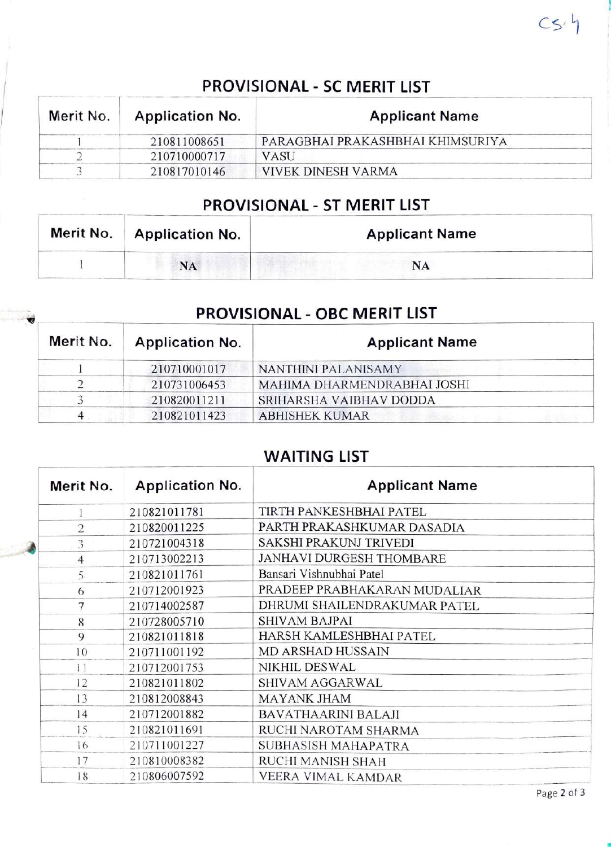# PROVISIONAL - SC MERIT LIST

| Merit No. | <b>Application No.</b> | <b>Applicant Name</b>            |  |
|-----------|------------------------|----------------------------------|--|
|           | 210811008651           | PARAGBHAI PRAKASHBHAI KHIMSURIYA |  |
|           | 210710000717           | <b>VASU</b>                      |  |
|           | 210817010146           | VIVEK DINESH VARMA               |  |

## PROVISIONAL - ST MERIT LIST

| Merit No.   Application No. | <b>Applicant Name</b> |
|-----------------------------|-----------------------|
| <b>NA</b>                   | NA                    |

### PROVISIONAL - OBC MERIT LIST

| Merit No. | <b>Application No.</b> | <b>Applicant Name</b>       |
|-----------|------------------------|-----------------------------|
|           | 210710001017           | <b>NANTHINI PALANISAMY</b>  |
|           | 210731006453           | MAHIMA DHARMENDRABHAI JOSHI |
|           | 210820011211           | SRIHARSHA VAIBHAV DODDA     |
|           | 210821011423           | <b>ABHISHEK KUMAR</b>       |

### WAITING LIST

| Merit No.      | <b>Application No.</b> | <b>Applicant Name</b>        |
|----------------|------------------------|------------------------------|
|                | 210821011781           | TIRTH PANKESHBHAI PATEL      |
| $\overline{2}$ | 210820011225           | PARTH PRAKASHKUMAR DASADIA   |
| 3              | 210721004318           | SAKSHI PRAKUNJ TRIVEDI       |
| $\overline{4}$ | 210713002213           | JANHAVI DURGESH THOMBARE     |
| 5              | 210821011761           | Bansari Vishnubhai Patel     |
| 6              | 210712001923           | PRADEEP PRABHAKARAN MUDALIAR |
| 7              | 210714002587           | DHRUMI SHAILENDRAKUMAR PATEL |
| 8              | 210728005710           | <b>SHIVAM BAJPAI</b>         |
| 9              | 210821011818           | HARSH KAMLESHBHAI PATEL      |
| 10             | 210711001192           | <b>MD ARSHAD HUSSAIN</b>     |
| 11             | 210712001753           | NIKHIL DESWAL                |
| 12             | 210821011802           | SHIVAM AGGARWAL              |
| 13             | 210812008843           | <b>MAYANK JHAM</b>           |
| 14             | 210712001882           | <b>BAVATHAARINI BALAJI</b>   |
| 15             | 210821011691           | RUCHI NAROTAM SHARMA         |
| 16             | 210711001227           | SUBHASISH MAHAPATRA          |
| 17             | 210810008382           | RUCHI MANISH SHAH            |
| 18             | 210806007592           | VEERA VIMAL KAMDAR           |

 $Cs<sup>'</sup>$ 

Page 2 of 3